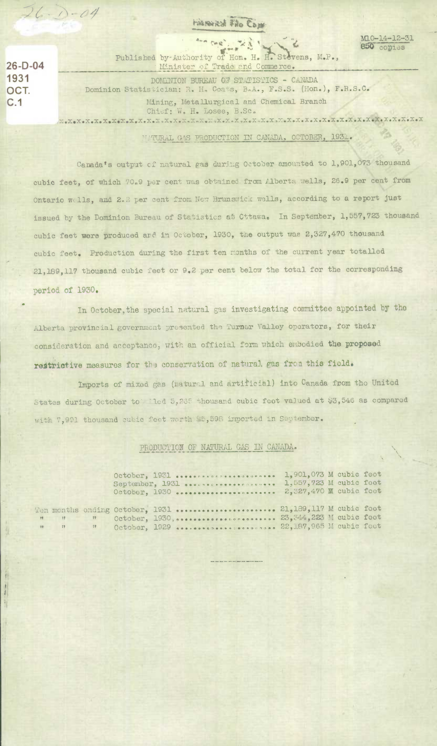**HARRYRO FAO COM** 

M10-14-12-31 850 copies

 $26-D-04$ 1931 OCT.  $C.1$ 

 $\begin{array}{c} 0 \\ 0 \\ 0 \\ 0 \end{array}$ 

 $26 - 0.04$ 

Les cas', "23" Published by-Authority of Hon. H. H. Stevens, M.P., Minister of Trade and Commerce. DOMINION BUREAU OF STATISTICS - CANADA Dominion Statistician: R. H. Coats, B.A., F.S.S. (Hon.), F.R.S.C. Mining, Metallurgical and Chemical Branch Chief: W. H. Losee, B.Sc.

MATURAL GAS PRODUCTION IN CANADA, OCTOBER, 1931.

Canada's output of natural gas during October amounted to 1,901,073 thousand cubic feet, of which 70.9 per cent was obtained from Alberta wells, 26.9 per cent from Ontario wells, and 2.2 per cent from New Brunswick wells, according to a report just issued by the Dominion Bureau of Statistics at Cttawa. In September, 1,557,723 thousand cubic feet were produced and in October, 1930, the output was 2,327,470 thousand cubic feet. Production during the first ten months of the current year totalled 21,189,117 thousand cubic feet or 9.2 per cent below the total for the corresponding period of 1930.

In October, the special natural gas investigating committee appointed by the Alberta provincial government presented the Turner Valley operators, for their consideration and acceptance, with an official form which embodied the proposed restrictive measures for the conservation of natural. gas from this field.

Imports of mixed gas (natural and artificial) into Canada from the United States during October to led 5.265 thousand cubic feet valued at \$3,546 as compared with 7,991 thousand cubic fect worth \$5,598 imported in September.

## PRODUCTION OF NATURAL GAS IN CANADA.

|  | October, 1931  1,901,073 M cubic fect<br>September, 1931<br>October, 1930  2,327,470 M cubic foct                                                       | 1,557,723 M cubic foot |  |  |
|--|---------------------------------------------------------------------------------------------------------------------------------------------------------|------------------------|--|--|
|  | Ten months ending October, 1931  21,189,117 M cubic foot<br>" " October, 1930,  23, 344, 223 M cubic foet<br>" " October, 1929  22,187,965 M cubic fect |                        |  |  |